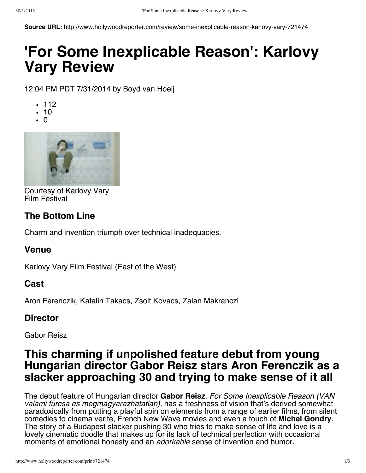**Source URL:** http://www.hollywoodreporter.com/review/some-inexplicable-reason-karlovy-vary-721474

# **'For Some Inexplicable Reason': Karlovy Vary Review**

12:04 PM PDT 7/31/2014 by Boyd van Hoeij

- $-112$
- $10$
- $\cdot$  0



Courtesy of Karlovy Vary Film Festival

### **The Bottom Line**

Charm and invention triumph over technical inadequacies.

#### **Venue**

Karlovy Vary Film Festival (East of the West)

### **Cast**

Aron Ferenczik, Katalin Takacs, Zsolt Kovacs, Zalan Makranczi

### **Director**

Gabor Reisz

## **This charming if unpolished feature debut from young Hungarian director Gabor Reisz stars Aron Ferenczik as a slacker approaching 30 and trying to make sense of it all**

The debut feature of Hungarian director **Gabor Reisz**, *For Some Inexplicable Reason (VAN valami furcsa es megmagyarazhatatlan)*, has a freshness of vision that's derived somewhat paradoxically from putting a playful spin on elements from a range of earlier films, from silent comety.<br>comedies to cinema verite, French New Wave movies and even a touch of **Michel Gondry**. The story of a Budapest slacker pushing 30 who tries to make sense of life and love is a lovely cinematic doodle that makes up for its lack of technical perfection with occasional moments of emotional honesty and an *adorkable* sense of invention and humor.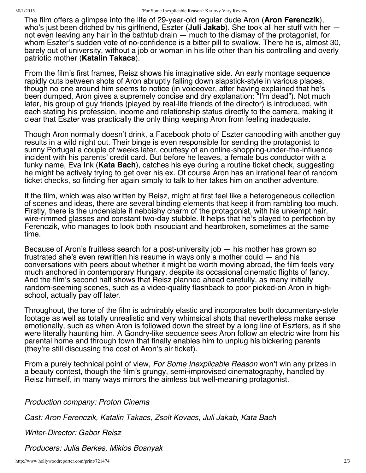The film offers a glimpse into the life of 29-year-old regular dude Aron (**Aron Ferenczik**), who's just been ditched by his girlfriend, Eszter (**Juli Jakab**). She took all her stuff with her not even leaving any hair in the bathtub drain — much to the dismay of the protagonist, for whom Eszter's sudden vote of no-confidence is a bitter pill to swallow. There he is, almost 30, barely out of university, without a job or woman in his life other than his controlling and overly patriotic mother (**Katalin Takacs**).

From the film's first frames, Reisz shows his imaginative side. An early montage sequence rapidly cuts between shots of Aron abruptly falling down slapstick-style in various places, though no one around him seems to notice (in voiceover, after having explained that he's been dumped, Aron gives a supremely concise and dry explanation: "I'm dead"). Not much later, his group of guy friends (played by real-life friends of the director) is introduced, with each stating his profession, income and relationship status directly to the camera, making it clear that Eszter was practically the only thing keeping Aron from feeling inadequate.

Though Aron normally doesn't drink, a Facebook photo of Eszter canoodling with another guy results in a wild night out. Their binge is even responsible for sending the protagonist to sunny Portugal a couple of weeks later, courtesy of an online-shopping-under-the-influence incident with his parents' credit card. But before he leaves, a female bus conductor with a funky name, Eva Ink (**Kata Bach**), catches his eye during a routine ticket check, suggesting he might be actively trying to get over his ex. Of course Aron has an irrational fear of random ticket checks, so finding her again simply to talk to her takes him on another adventure.

If the film, which was also written by Reisz, might at first feel like a heterogeneous collection of scenes and ideas, there are several binding elements that keep it from rambling too much. Firstly, there is the undeniable if nebbishy charm of the protagonist, with his unkempt hair, wire-rimmed glasses and constant two-day stubble. It helps that he's played to perfection by Ferenczik, who manages to look both insouciant and heartbroken, sometimes at the same time.

Because of Aron's fruitless search for a post-university job — his mother has grown so frustrated she's even rewritten his resume in ways only a mother could — and his conversations with peers about whether it might be worth moving abroad, the film feels very much anchored in contemporary Hungary, despite its occasional cinematic flights of fancy. And the film's second half shows that Reisz planned ahead carefully, as many initially random-seeming scenes, such as a video-quality flashback to poor picked-on Aron in highschool, actually pay off later.

Throughout, the tone of the film is admirably elastic and incorporates both documentary-style footage as well as totally unrealistic and very whimsical shots that nevertheless make sense emotionally, such as when Aron is followed down the street by a long line of Eszters, as if she were literally haunting him. A Gondry-like sequence sees Aron follow an electric wire from his parental home and through town that finally enables him to unplug his bickering parents (they're still discussing the cost of Aron's air ticket).

From a purely technical point of view, *For Some Inexplicable Reason* won't win any prizes in a beauty contest, though the film's grungy, semi-improvised cinematography, handled by Reisz himself, in many ways mirrors the aimless but well-meaning protagonist.

*Production company: Proton Cinema*

*Cast: Aron Ferenczik, Katalin Takacs, Zsolt Kovacs, Juli Jakab, Kata Bach*

*Writer-Director: Gabor Reisz*

*Producers: Julia Berkes, Miklos Bosnyak*